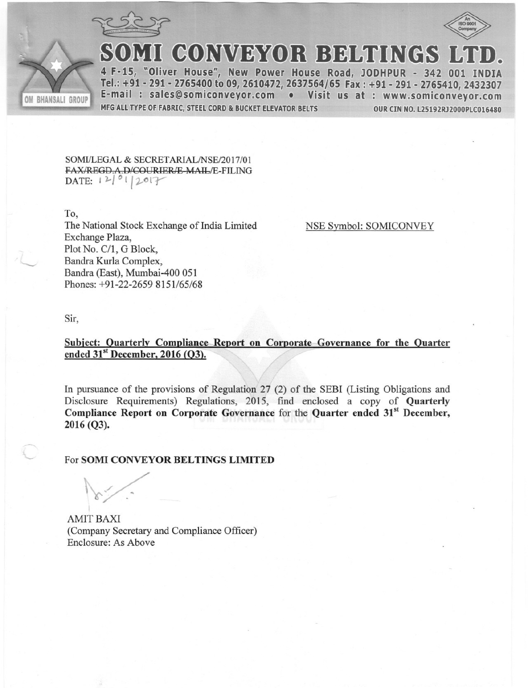



OMI CONVEYOR BELTINGS I

4 F-15, "Oliver House", New Power House Road, JODHPUR - 342 001 INDIA Tel.: +91 - 291 - 2765400 to 09, 2610472, 2637564/65 Fax: +91 - 291 - 2765410, 2432307 E-mail : sales@somiconveyor.com . Visit us at : www.somiconveyor.com MFG ALL TYPE OF FABRIC, STEEL CORD & BUCKET ELEVATOR BELTS OUR CIN NO. L25192RJ2000PLC016480

SOMI/LEGAL & SECRETARIAL/NSE/2017/01 FAX/REGD.A.D/COURIER/E-MAIL/E-FILING DATE:  $12017$ 

To,

The National Stock Exchange of India Limited Exchange Plaza, Plot No. C/1, G Block, Bandra Kurla Complex, Bandra (East), Mumbai-400 051 Phones: +91-22-2659 8151/65/68

NSE Symbol: SOMICONVEY

Sir,

Subject: Quarterly Compliance Report on Corporate Governance for the Quarter ended 31st December, 2016 (Q3).

In pursuance of the provisions of Regulation 27 (2) of the SEBI (Listing Obligations and Disclosure Requirements) Regulations, 2015, find enclosed a copy of Quarterly Compliance Report on Corporate Governance for the Quarter ended 31<sup>st</sup> December, 2016 (Q3).

For SOMI CONVEYOR BELTINGS LIMITED

**AMIT BAXI** (Company Secretary and Compliance Officer) Enclosure: As Above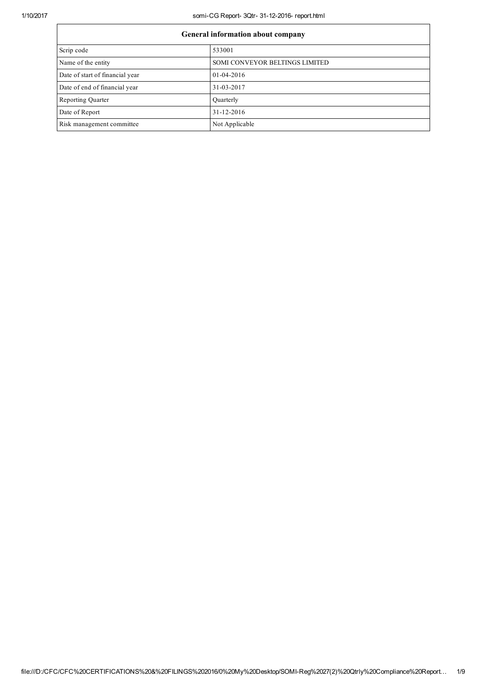## 1/10/2017 somi-CG Report-3Qtr- 31-12-2016- report.html

| General information about company |                                |  |
|-----------------------------------|--------------------------------|--|
| Scrip code                        | 533001                         |  |
| Name of the entity                | SOMI CONVEYOR BELTINGS LIMITED |  |
| Date of start of financial year   | $01-04-2016$                   |  |
| Date of end of financial year     | 31-03-2017                     |  |
| Reporting Quarter                 | Quarterly                      |  |
| Date of Report                    | $31 - 12 - 2016$               |  |
| Risk management committee         | Not Applicable                 |  |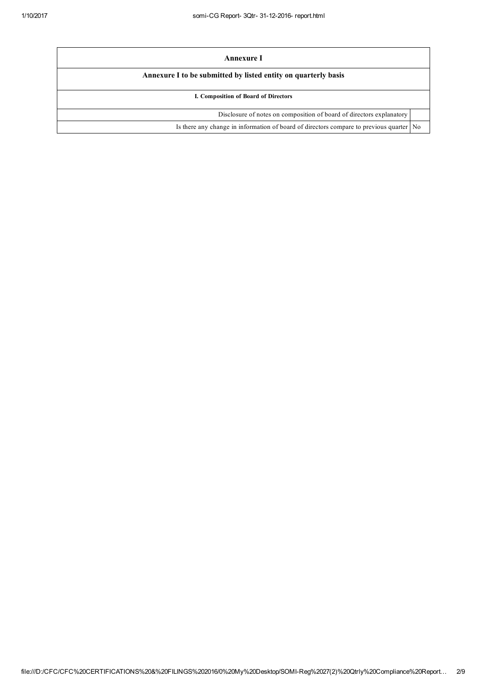| Annexure I                                                                                |  |  |
|-------------------------------------------------------------------------------------------|--|--|
| Annexure I to be submitted by listed entity on quarterly basis                            |  |  |
| I. Composition of Board of Directors                                                      |  |  |
| Disclosure of notes on composition of board of directors explanatory                      |  |  |
| Is there any change in information of board of directors compare to previous quarter   No |  |  |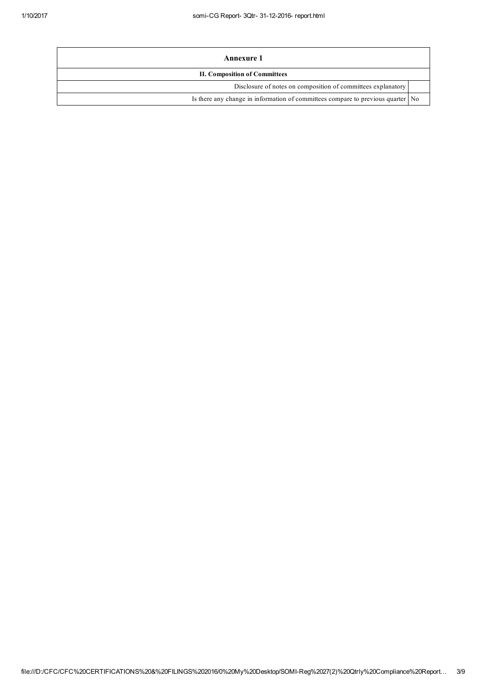| Annexure 1                                                                      |  |  |
|---------------------------------------------------------------------------------|--|--|
| <b>II. Composition of Committees</b>                                            |  |  |
| Disclosure of notes on composition of committees explanatory                    |  |  |
| Is there any change in information of committees compare to previous quarter No |  |  |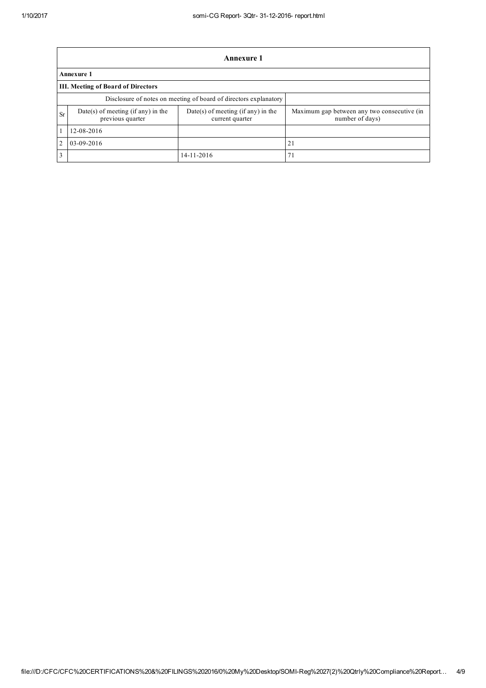|           | Annexure 1                                                       |                                                       |                                                                |  |  |
|-----------|------------------------------------------------------------------|-------------------------------------------------------|----------------------------------------------------------------|--|--|
|           | <b>Annexure 1</b>                                                |                                                       |                                                                |  |  |
|           | <b>III.</b> Meeting of Board of Directors                        |                                                       |                                                                |  |  |
|           | Disclosure of notes on meeting of board of directors explanatory |                                                       |                                                                |  |  |
| <b>Sr</b> | Date(s) of meeting (if any) in the<br>previous quarter           | Date(s) of meeting (if any) in the<br>current quarter | Maximum gap between any two consecutive (in<br>number of days) |  |  |
|           | 12-08-2016                                                       |                                                       |                                                                |  |  |
| 2         | 03-09-2016                                                       |                                                       | 21                                                             |  |  |
| 3         |                                                                  | 14-11-2016                                            | 71                                                             |  |  |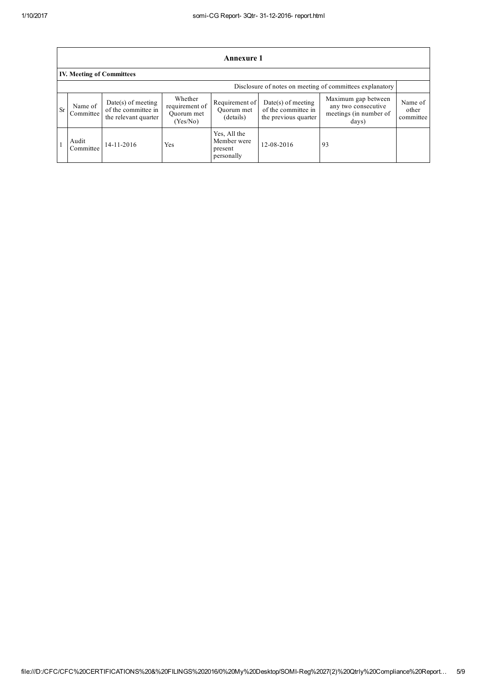|           | Annexure 1                                               |                                                                     |                                                     |                                                      |                                                                     |                                                                               |                               |
|-----------|----------------------------------------------------------|---------------------------------------------------------------------|-----------------------------------------------------|------------------------------------------------------|---------------------------------------------------------------------|-------------------------------------------------------------------------------|-------------------------------|
|           | <b>IV. Meeting of Committees</b>                         |                                                                     |                                                     |                                                      |                                                                     |                                                                               |                               |
|           | Disclosure of notes on meeting of committees explanatory |                                                                     |                                                     |                                                      |                                                                     |                                                                               |                               |
| <b>Sr</b> | Name of<br>Committee                                     | $Date(s)$ of meeting<br>of the committee in<br>the relevant quarter | Whether<br>requirement of<br>Ouorum met<br>(Yes/No) | Requirement of<br>Ouorum met<br>(details)            | $Date(s)$ of meeting<br>of the committee in<br>the previous quarter | Maximum gap between<br>any two consecutive<br>meetings (in number of<br>days) | Name of<br>other<br>committee |
|           | Audit<br>Committee                                       | $14 - 11 - 2016$                                                    | Yes                                                 | Yes, All the<br>Member were<br>present<br>personally | 12-08-2016                                                          | 93                                                                            |                               |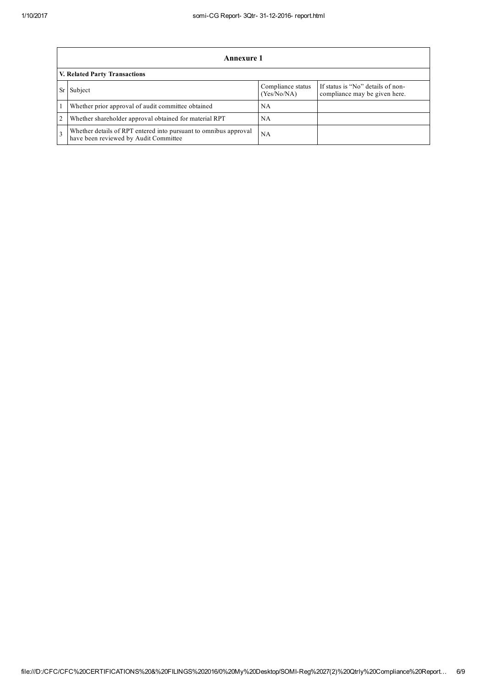|                                      | Annexure 1                                                                                                |                                  |                                                                    |  |
|--------------------------------------|-----------------------------------------------------------------------------------------------------------|----------------------------------|--------------------------------------------------------------------|--|
| <b>V. Related Party Transactions</b> |                                                                                                           |                                  |                                                                    |  |
|                                      | Subject                                                                                                   | Compliance status<br>(Yes/No/NA) | If status is "No" details of non-<br>compliance may be given here. |  |
|                                      | Whether prior approval of audit committee obtained                                                        | NA                               |                                                                    |  |
| $\overline{2}$                       | Whether shareholder approval obtained for material RPT                                                    | NA                               |                                                                    |  |
| $\mathcal{R}$                        | Whether details of RPT entered into pursuant to omnibus approval<br>have been reviewed by Audit Committee | NA                               |                                                                    |  |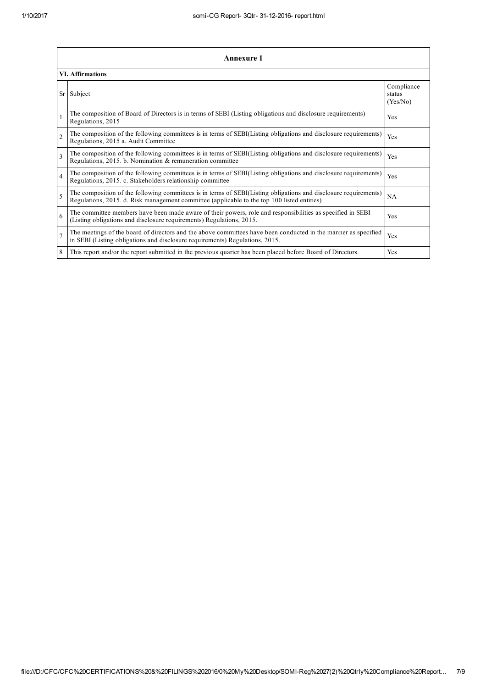|                         | Annexure 1                                                                                                                                                                                                      |                                  |  |  |  |
|-------------------------|-----------------------------------------------------------------------------------------------------------------------------------------------------------------------------------------------------------------|----------------------------------|--|--|--|
|                         | <b>VI.</b> Affirmations                                                                                                                                                                                         |                                  |  |  |  |
| Sr                      | Subject                                                                                                                                                                                                         | Compliance<br>status<br>(Yes/No) |  |  |  |
|                         | The composition of Board of Directors is in terms of SEBI (Listing obligations and disclosure requirements)<br>Regulations, 2015                                                                                | Yes                              |  |  |  |
| $\mathfrak{D}$          | The composition of the following committees is in terms of SEBI(Listing obligations and disclosure requirements)<br>Regulations, 2015 a. Audit Committee                                                        | Yes                              |  |  |  |
| $\overline{\mathbf{3}}$ | The composition of the following committees is in terms of SEBI(Listing obligations and disclosure requirements)<br>Regulations, 2015. b. Nomination & remuneration committee                                   | Yes                              |  |  |  |
| $\overline{4}$          | The composition of the following committees is in terms of SEBI(Listing obligations and disclosure requirements)<br>Regulations, 2015. c. Stakeholders relationship committee                                   | Yes                              |  |  |  |
| 5                       | The composition of the following committees is in terms of SEBI(Listing obligations and disclosure requirements)<br>Regulations, 2015. d. Risk management committee (applicable to the top 100 listed entities) | NA                               |  |  |  |
| 6                       | The committee members have been made aware of their powers, role and responsibilities as specified in SEBI<br>(Listing obligations and disclosure requirements) Regulations, 2015.                              | Yes                              |  |  |  |
|                         | The meetings of the board of directors and the above committees have been conducted in the manner as specified<br>in SEBI (Listing obligations and disclosure requirements) Regulations, 2015.                  | Yes                              |  |  |  |
| 8                       | This report and/or the report submitted in the previous quarter has been placed before Board of Directors.                                                                                                      | Yes                              |  |  |  |